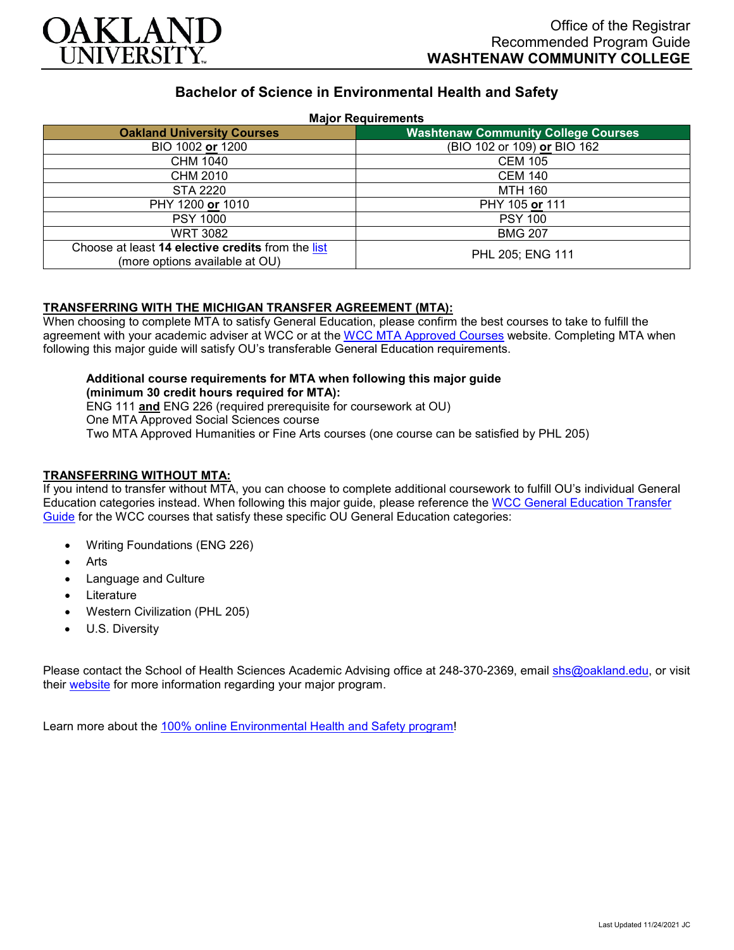

# **Bachelor of Science in Environmental Health and Safety**

### **Major Requirements**

| 11.41                                                                               |                                            |
|-------------------------------------------------------------------------------------|--------------------------------------------|
| <b>Oakland University Courses</b>                                                   | <b>Washtenaw Community College Courses</b> |
| BIO 1002 or 1200                                                                    | (BIO 102 or 109) or BIO 162                |
| CHM 1040                                                                            | <b>CEM 105</b>                             |
| CHM 2010                                                                            | CEM 140                                    |
| <b>STA 2220</b>                                                                     | <b>MTH 160</b>                             |
| PHY 1200 or 1010                                                                    | PHY 105 or 111                             |
| <b>PSY 1000</b>                                                                     | <b>PSY 100</b>                             |
| <b>WRT 3082</b>                                                                     | <b>BMG 207</b>                             |
| Choose at least 14 elective credits from the list<br>(more options available at OU) | PHL 205; ENG 111                           |

### **TRANSFERRING WITH THE MICHIGAN TRANSFER AGREEMENT (MTA):**

When choosing to complete MTA to satisfy General Education, please confirm the best courses to take to fulfill the agreement with your academic adviser at WCC or at the [WCC MTA Approved Courses](http://www.wccnet.edu/services/transferresources/mta/) website. Completing MTA when following this major guide will satisfy OU's transferable General Education requirements.

#### **Additional course requirements for MTA when following this major guide (minimum 30 credit hours required for MTA):**

ENG 111 **and** ENG 226 (required prerequisite for coursework at OU) One MTA Approved Social Sciences course Two MTA Approved Humanities or Fine Arts courses (one course can be satisfied by PHL 205)

## **TRANSFERRING WITHOUT MTA:**

If you intend to transfer without MTA, you can choose to complete additional coursework to fulfill OU's individual General Education categories instead. When following this major guide, please reference the [WCC General Education Transfer](https://www.oakland.edu/Assets/Oakland/program-guides/washtenaw-community-college/university-general-education-requirements/Washtenaw%20Gen%20Ed.pdf)  [Guide](https://www.oakland.edu/Assets/Oakland/program-guides/washtenaw-community-college/university-general-education-requirements/Washtenaw%20Gen%20Ed.pdf) for the WCC courses that satisfy these specific OU General Education categories:

- Writing Foundations (ENG 226)
- **Arts**
- Language and Culture
- **Literature**
- Western Civilization (PHL 205)
- U.S. Diversity

Please contact the School of Health Sciences Academic Advising office at 248-370-2369, email [shs@oakland.edu,](mailto:shs@oakland.edu) or visit their [website](http://www.oakland.edu/shs/advising) for more information regarding your major program.

Learn more about the [100% online Environmental Health and Safety program!](https://www.oakland.edu/online/undergraduate-degree-programs/ehs/)